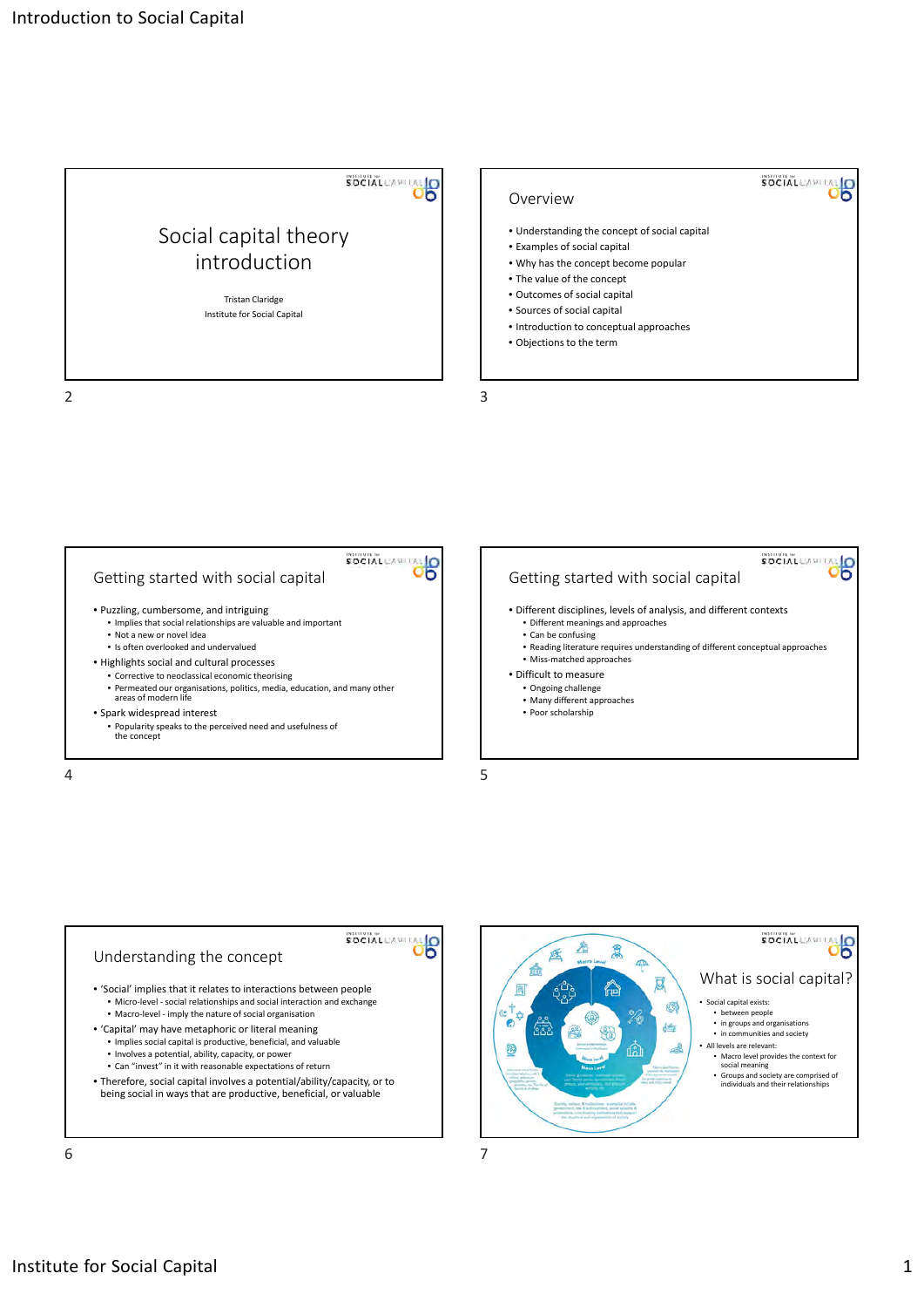







**SOCIAL**CAPITA

 $\frac{1}{6}$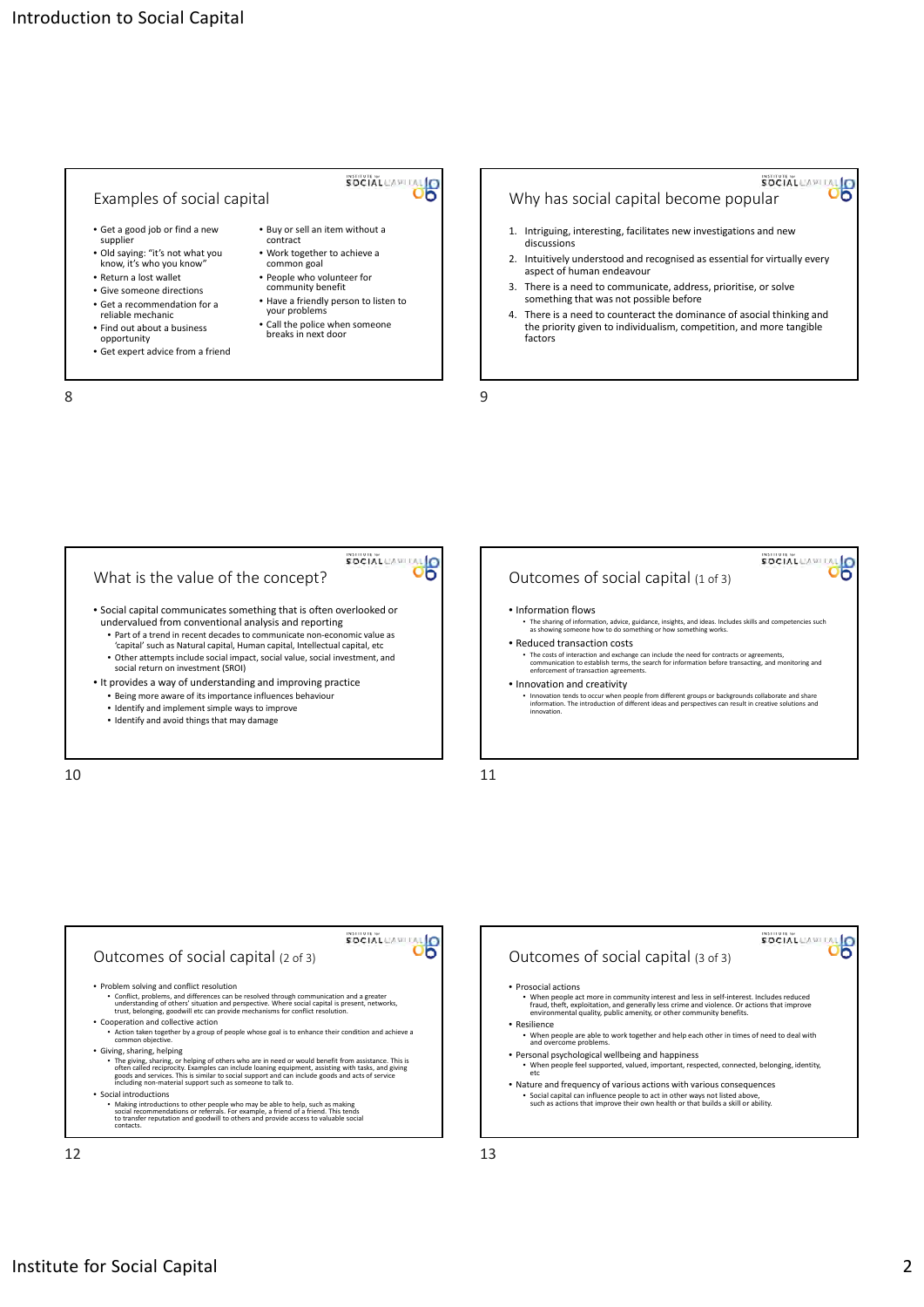



- Part of a trend in recent decades to communicate non‐economic value as 'capital' such as Natural capital, Human capital, Intellectual capital, etc • Other attempts include social impact, social value, social investment, and social return on investment (SROI)
- It provides a way of understanding and improving practice
	- Being more aware of its importance influences behaviour • Identify and implement simple ways to improve
	-
	- Identify and avoid things that may damage

10 11









SOCIAL CAPITAL O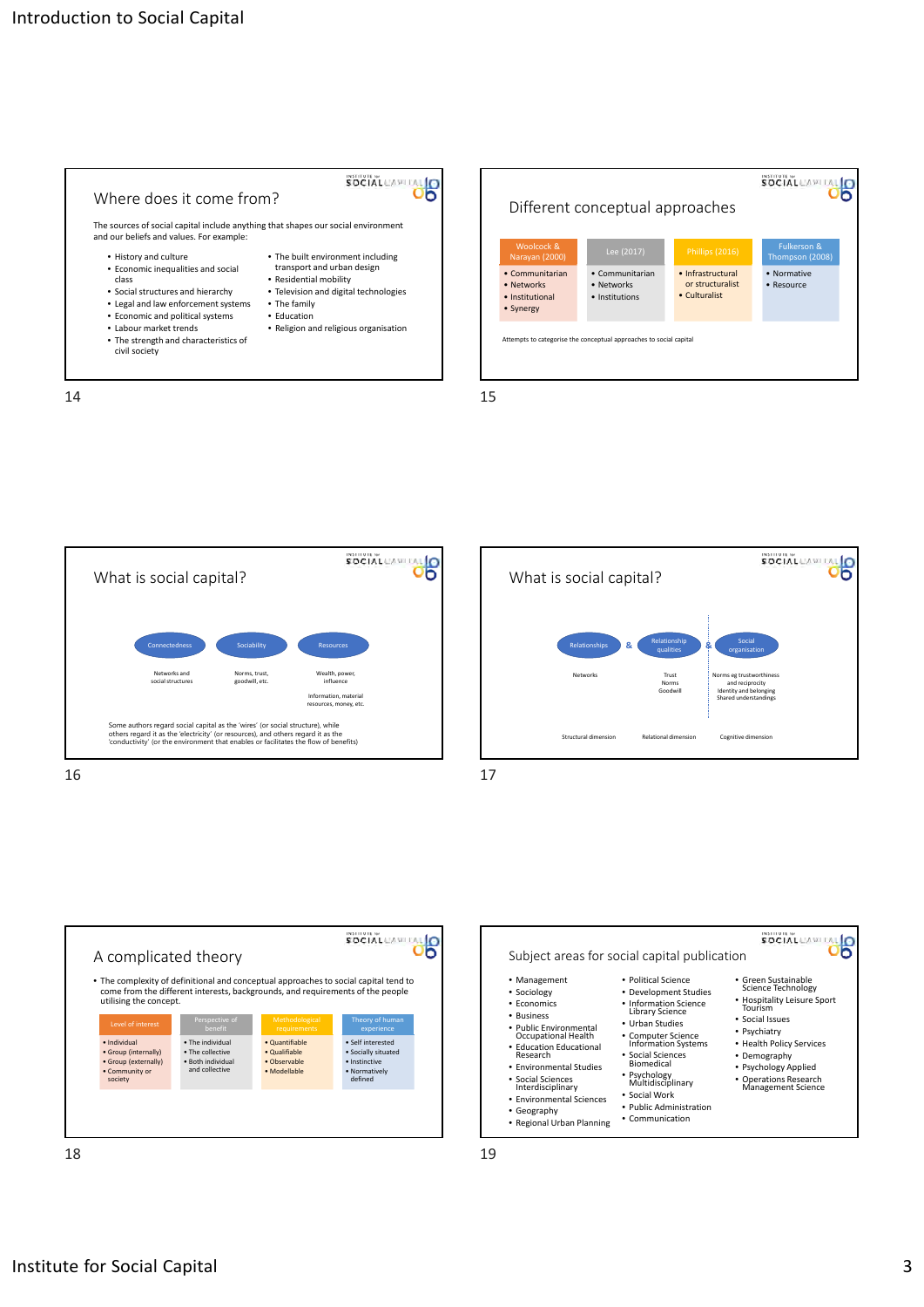

SOCIAL CAPITAL Different conceptual approaches Woolcock & Fulkerson & Thompson (2008) Narayan (2000) • Communitarian • Communitarian • Normative • Infrastructural or structuralist • Networks • Networks • Resource • Culturalist • Institutions • Institutional • Synergy npts to categorise the conceptual approaches to social capital









18 19